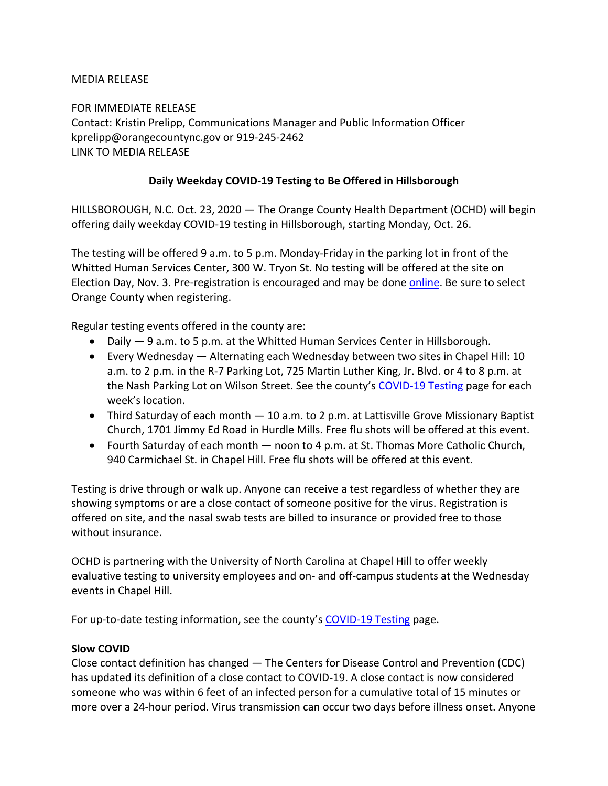### MEDIA RELEASE

FOR IMMEDIATE RELEASE Contact: Kristin Prelipp, Communications Manager and Public Information Officer kprelipp@orangecountync.gov or 919-245-2462 [LINK TO MEDIA RELEASE](https://www.orangecountync.gov/DocumentCenter/View/13412/Daily-Weekday-COVID-19-Testing-to-Be-Offered-in-Hillsborough_FINAL)

## **Daily Weekday COVID-19 Testing to Be Offered in Hillsborough**

HILLSBOROUGH, N.C. Oct. 23, 2020 ― The Orange County Health Department (OCHD) will begin offering daily weekday COVID-19 testing in Hillsborough, starting Monday, Oct. 26.

The testing will be offered 9 a.m. to 5 p.m. Monday-Friday in the parking lot in front of the Whitted Human Services Center, 300 W. Tryon St. No testing will be offered at the site on Election Day, Nov. 3. Pre-registration is encouraged and may be done [online.](https://unityphm.com/campaigns/starmed) Be sure to select Orange County when registering.

Regular testing events offered in the county are:

- Daily  $-9$  a.m. to 5 p.m. at the Whitted Human Services Center in Hillsborough.
- Every Wednesday Alternating each Wednesday between two sites in Chapel Hill: 10 a.m. to 2 p.m. in the R-7 Parking Lot, 725 Martin Luther King, Jr. Blvd. or 4 to 8 p.m. at the Nash Parking Lot on Wilson Street. See the county's [COVID-19 Testing](https://www.orangecountync.gov/2451/Testing) page for each week's location.
- Third Saturday of each month 10 a.m. to 2 p.m. at Lattisville Grove Missionary Baptist Church, 1701 Jimmy Ed Road in Hurdle Mills. Free flu shots will be offered at this event.
- Fourth Saturday of each month noon to 4 p.m. at St. Thomas More Catholic Church, 940 Carmichael St. in Chapel Hill. Free flu shots will be offered at this event.

Testing is drive through or walk up. Anyone can receive a test regardless of whether they are showing symptoms or are a close contact of someone positive for the virus. Registration is offered on site, and the nasal swab tests are billed to insurance or provided free to those without insurance.

OCHD is partnering with the University of North Carolina at Chapel Hill to offer weekly evaluative testing to university employees and on- and off-campus students at the Wednesday events in Chapel Hill.

For up-to-date testing information, see the county's [COVID-19 Testing](https://www.orangecountync.gov/2451/Testing) page.

### **Slow COVID**

Close contact definition has changed ― The Centers for Disease Control and Prevention (CDC) has updated its definition of a close contact to COVID-19. A close contact is now considered someone who was within 6 feet of an infected person for a cumulative total of 15 minutes or more over a 24-hour period. Virus transmission can occur two days before illness onset. Anyone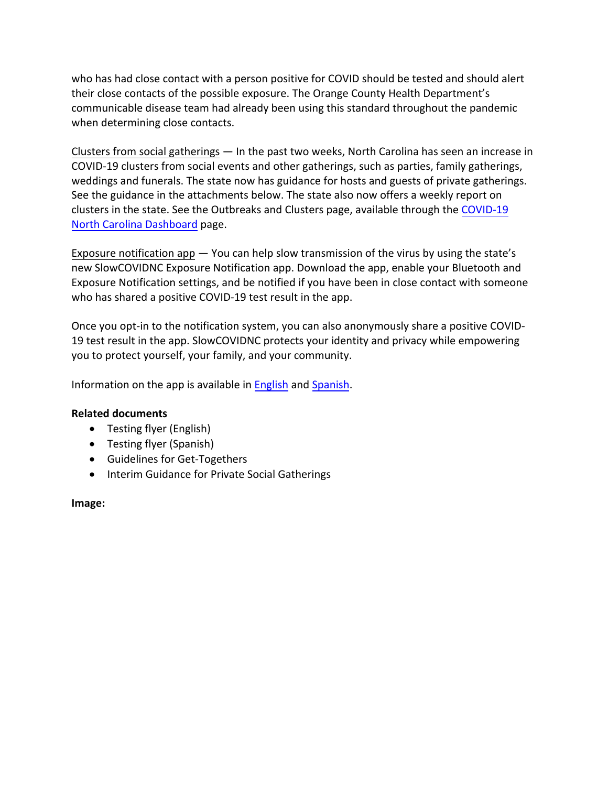who has had close contact with a person positive for COVID should be tested and should alert their close contacts of the possible exposure. The Orange County Health Department's communicable disease team had already been using this standard throughout the pandemic when determining close contacts.

Clusters from social gatherings ― In the past two weeks, North Carolina has seen an increase in COVID-19 clusters from social events and other gatherings, such as parties, family gatherings, weddings and funerals. The state now has guidance for hosts and guests of private gatherings. See the guidance in the attachments below. The state also now offers a weekly report on [clusters in the state. See the Outbreaks and Clusters page, available through the COVID-19](https://covid19.ncdhhs.gov/dashboard) North Carolina Dashboard page.

Exposure notification app ― You can help slow transmission of the virus by using the state's new SlowCOVIDNC Exposure Notification app. Download the app, enable your Bluetooth and Exposure Notification settings, and be notified if you have been in close contact with someone who has shared a positive COVID-19 test result in the app.

Once you opt-in to the notification system, you can also anonymously share a positive COVID-19 test result in the app. SlowCOVIDNC protects your identity and privacy while empowering you to protect yourself, your family, and your community.

Information on the app is available in [English](https://covid19.ncdhhs.gov/slowcovidnc) and [Spanish.](https://covid19.ncdhhs.gov/es/slowcovidnc-en-espanol)

## **Related documents**

- [Testing flyer \(English\)](https://www.orangecountync.gov/DocumentCenter/View/13350/SM_Covid19Flyer_OrangeCountyHD_WeekdayTesting_ENGLISH)
- [Testing flyer \(Spanish\)](https://www.orangecountync.gov/DocumentCenter/View/13351/SM_Covid19Flyer_OrangeCountyHD_WeekdayTesting_SPANISH)
- [Guidelines for Get-Togethers](https://files.nc.gov/covid/documents/guidance/NCDHHS-Guidelines-for-Get-Togethers.pdf)
- [Interim Guidance for Private Social Gatherings](https://files.nc.gov/covid/documents/guidance/NCDHHS-Interim-Guidance-for-Private-Social-Gatherings.pdf)

### **Image:**